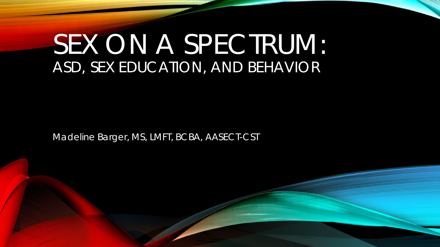# SEX ON A SPECTRUM: ASD, SEX EDUCATION, AND BEHAVIOR

Madeline Barger, MS, LMFT, BCBA, AASECT-CST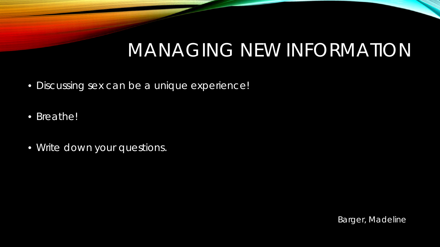#### MANAGING NEW INFORMATION

- Discussing sex can be a unique experience!
- Breathe!
- Write down your questions.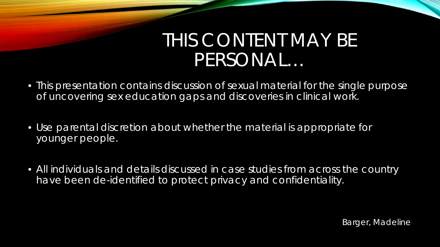#### THIS CONTENT MAY BE PERSONAL…

- This presentation contains discussion of sexual material for the single purpose of uncovering sex education gaps and discoveries in clinical work.
- Use parental discretion about whether the material is appropriate for younger people.
- All individuals and details discussed in case studies from across the country have been de-identified to protect privacy and confidentiality.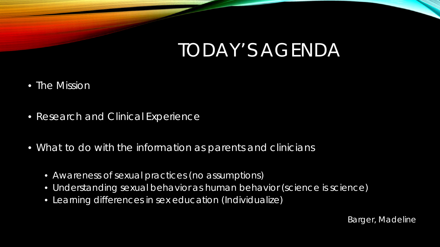#### TODAY'S AGENDA

- The Mission
- Research and Clinical Experience
- What to do with the information as parents and clinicians
	- Awareness of sexual practices (no assumptions)
	- Understanding sexual behavior as human behavior (science is science)
	- Learning differences in sex education (Individualize)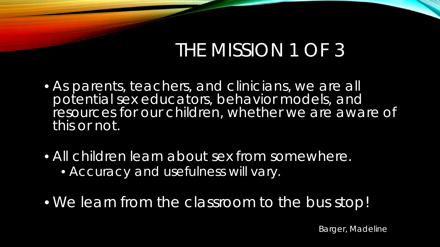## THE MISSION 1 OF 3

- As parents, teachers, and clinicians, we are all potential sex educators, behavior models, and resources for our children, whether we are aware of this or not.
- All children learn about sex from somewhere. • Accuracy and usefulness will vary.
- We learn from the classroom to the bus stop!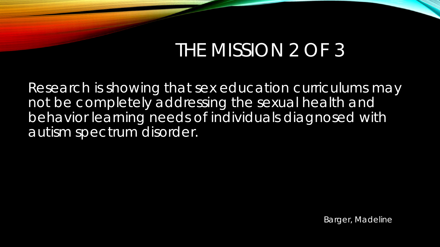## THE MISSION 2 OF 3

Research is showing that sex education curriculums may not be completely addressing the sexual health and behavior learning needs of individuals diagnosed with autism spectrum disorder.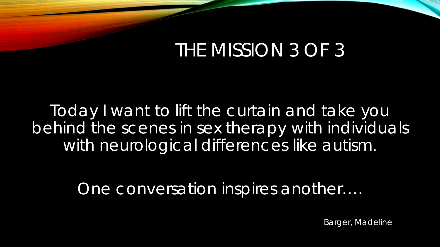#### THE MISSION 3 OF 3

Today I want to lift the curtain and take you behind the scenes in sex therapy with individuals with neurological differences like autism.

One conversation inspires another….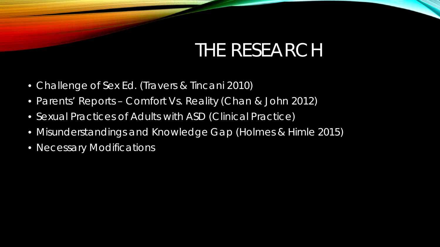#### THE RESEARCH

- Challenge of Sex Ed. (Travers & Tincani 2010)
- Parents' Reports Comfort Vs. Reality (Chan & John 2012)
- Sexual Practices of Adults with ASD (Clinical Practice)
- Misunderstandings and Knowledge Gap (Holmes & Himle 2015)
- Necessary Modifications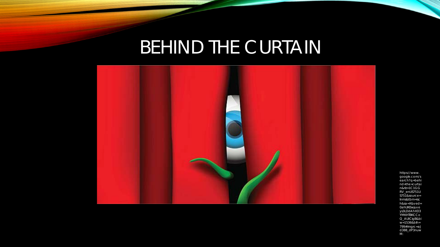## BEHIND THE CURTAIN



https://www. google.com/s earch?q=behi nd+the+curtai n&rlz=1C1GG RV\_enUS751U S751&source= Inms&tbm=isc h&sa=X&ved= 0ahUKEwjuve<br>ys3LDdAhXD3 YMKHTBKCCo Q\_AUICigB&bi  $w=1536$ &bih= 799#imgrc=aJ d388\_dP3nuw  $M:$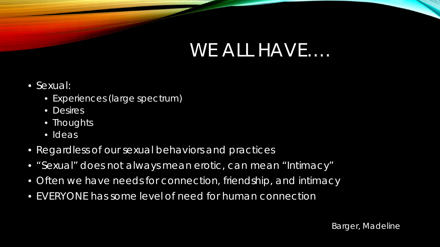#### WE ALL HAVE….

- Sexual:
	- Experiences (large spectrum)
	- Desires
	- Thoughts
	- Ideas
- Regardless of our sexual behaviors and practices
- "Sexual" does not always mean erotic, can mean "Intimacy"
- Often we have needs for connection, friendship, and intimacy
- EVERYONE has some level of need for human connection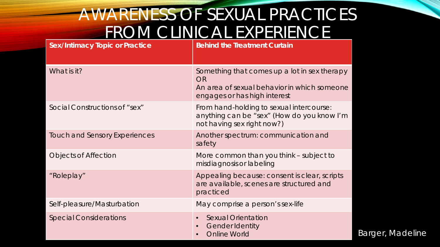#### AWARENESS OF SEXUAL PRACTICES FROM CLINICAL EXPERIENCE

| <b>Sex/Intimacy Topic or Practice</b> | <b>Behind the Treatment Curtain</b>                                                                                               |
|---------------------------------------|-----------------------------------------------------------------------------------------------------------------------------------|
| What is it?                           | Something that comes up a lot in sex therapy<br>OR<br>An area of sexual behavior in which someone<br>engages or has high interest |
| Social Constructions of "sex"         | From hand-holding to sexual intercourse:<br>anything can be "sex" (How do you know I'm<br>not having sex right now?)              |
| <b>Touch and Sensory Experiences</b>  | Another spectrum: communication and<br>safety                                                                                     |
| <b>Objects of Affection</b>           | More common than you think – subject to<br>misdiagnosis or labeling                                                               |
| "Roleplay"                            | Appealing because: consent is clear, scripts<br>are available, scenes are structured and<br>practiced                             |
| Self-pleasure/Masturbation            | May comprise a person's sex-life                                                                                                  |
| <b>Special Considerations</b>         | <b>Sexual Orientation</b><br>$\bullet$<br><b>Gender Identity</b><br>$\bullet$<br><b>Online World</b>                              |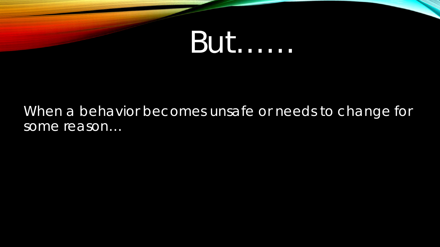

#### When a behavior becomes unsafe or needs to change for some reason...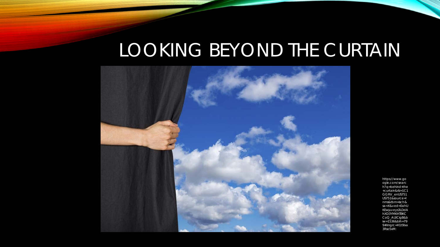# LOOKING BEYOND THE CURTAIN



https://www.go ogle.com/searc h?q=behind+the +curtain&rlz=1C1 GGRV enUS751 US751&source=I nms&tbm=isch& sa=X&ved=0ahU KEwjuveys3LDdA **hXD3YMKHTBKC** CoQ\_AUICigB&b  $iw = 15368$ bih=79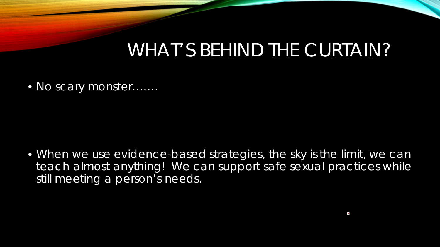#### WHAT'S BEHIND THE CURTAIN?

• No scary monster…….

• When we use evidence-based strategies, the sky is the limit, we can teach almost anything! We can support safe sexual practices while still meeting a person's needs.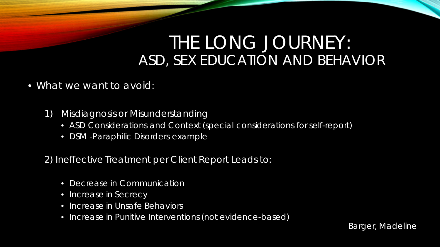#### THE LONG JOURNEY: ASD, SEX EDUCATION AND BEHAVIOR

- What we want to avoid:
	- 1) Misdiagnosis or Misunderstanding
		- ASD Considerations and Context (special considerations for self-report)
		- DSM -Paraphilic Disorders example

2) Ineffective Treatment per Client Report Leads to:

- Decrease in Communication
- Increase in Secrecy
- Increase in Unsafe Behaviors
- Increase in Punitive Interventions (not evidence-based)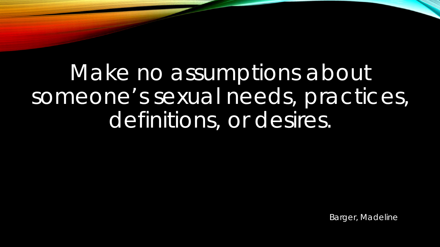Make no assumptions about someone's sexual needs, practices, definitions, or desires.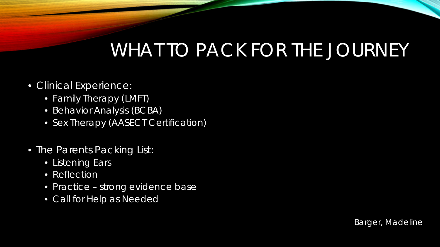## WHAT TO PACK FOR THE JOURNEY

- Clinical Experience:
	- Family Therapy (LMFT)
	- Behavior Analysis (BCBA)
	- Sex Therapy (AASECT Certification)
- The Parents Packing List:
	- **Listening Ears**
	- Reflection
	- Practice strong evidence base
	- Call for Help as Needed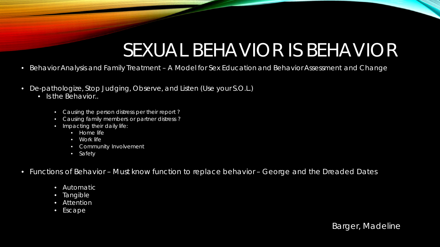## SEXUAL BEHAVIOR IS BEHAVIOR

- Behavior Analysis and Family Treatment A Model for Sex Education and Behavior Assessment and Change
- De-pathologize, Stop Judging, Observe, and Listen (Use your S.O.L.)
	- Is the Behavior..
		- Causing the person distress per their report ?
		- Causing family members or partner distress ?
		- Impacting their daily life:
			- Home life
			- Work life
			- Community Involvement
			- Safety
- Functions of Behavior Must know function to replace behavior *George and the Dreaded Dates*
	- Automatic
	- Tangible
	- Attention
	- Escape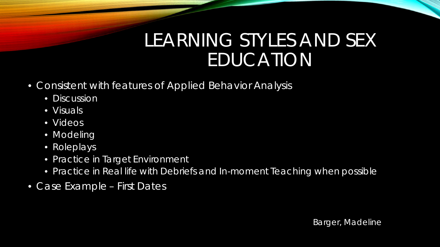#### LEARNING STYLES AND SEX EDUCATION

- Consistent with features of Applied Behavior Analysis
	- Discussion
	- Visuals
	- Videos
	- Modeling
	- Roleplays
	- Practice in Target Environment
	- Practice in Real life with Debriefs and In-moment Teaching when possible
- Case Example First Dates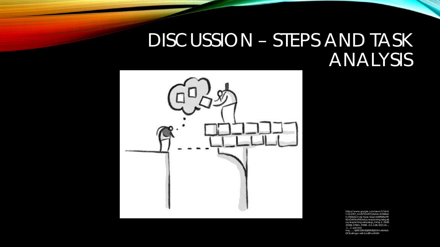#### **DISCUSSION - STEPS AND TASK** ANALYSIS



https://www.google.com/search?rlz=1 C1GGRV\_enUS751US751&biw=1536&bi h=760&tbm=isch&sa=1&ei=U0iRW6eFFI KGtQW9vLPADw&q=explaining+steps&  $.1...1..qws-wiz$ img.......0j0i67j0i5i30j0i8i30j0i24.hu9e6ab DF3o#imgrc=xB-GarBFnuRt1M: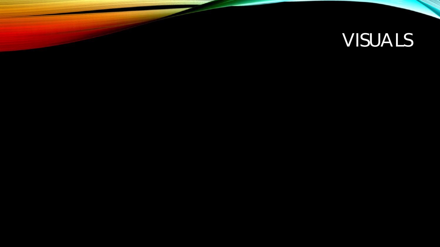# VISUALS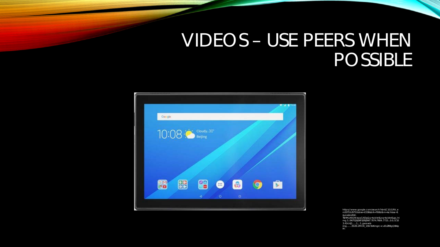#### **VIDEOS - USE PEERS WHEN** POSSIBLE



https://www.google.com/search?rlz=1C1GGRV\_e<br>nUS751US751&biw=1536&bih=760&tbm=isch&sa=1 &ei=IUmRWee=comwv<br>TSHMaKtOWzqqGADg&q=tablet&oq=tablet&gs\_l=i<br>mg.3..0i67l2j0j067j0l5j0i67.7074.7609..7723...0.0..0.10<br>img........35i39.2MOK\_1StV3l#imgrc=cvEUZR8gQBl4p<br>img........35i39.2MOK\_1StV3l#imgrc=cvEUZR8gQBl4p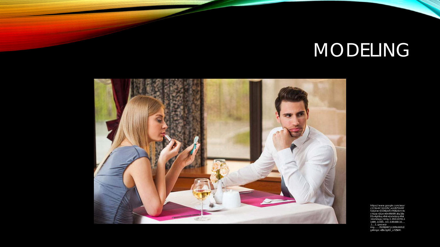# MODELING



https://www.google.com/sear ch?rlz=1C1GGRV\_enUS751US7 51&biw=1536&bih=760&tbm=is<br>
ch&sa=1&ei=l0mRW8FcjKq1Ba<br>
D1v4gH&q=first+date&oq=first<br>+date&gs\_l=img.3..0l10.107411.<br>
+date&gs\_l=img.3..0l10.107411.<br>
1489..11565...0.0..0.89.669.10....<br>
1....1..gws-wizimg.......35i39j0i67.JL3XRmNXU2 g#imgrc=ZBo3gKO\_o7ZSkM: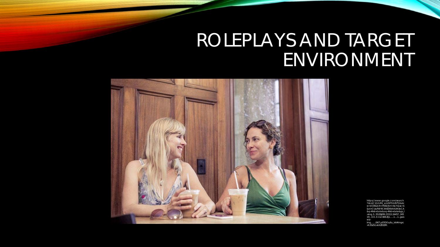## ROLEPLAYS AND TARGET ENVIRONMENT



https://www.google.com/search ?rlz=1C1GGRV\_enUS751US751&bi  $w=15368$  bih=760&thm=isch&sa=1 &ei=CUqRW9C6HZD0tAXL943oCA &q=first+date&oq=first+date&gs\_l  $=$ img.3..35i39j0l9.23313.24457..245 19...0.0..0.112.666.8j1......1...1...qws wizimg.......0i67.pEYDOq6u\_k4#imgrc  $=h3Sz5GxkX7FF7M$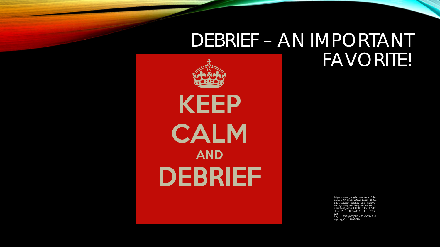#### DEBRIEF - AN IMPORTANT **FAVORITE!**

**KEEP** 

**CALM** 

**AND** 

**DEBRIEF** 

https://www.google.com/search?rlz= 1C1GGRV enUS751US751&biw=1536& bih=760&tbm=isch&sa=1&ei=lkqRW6\_ MLYyytQWfp5K4DA&q=debrief&oq=d ebrief&gs l=img.3..0l10.135055.135828. .135932...0.0.0.85.486.7......1....1..gwswiz-

 $....35i39i0i67i0i10.a18TnOOSMFo#i$ ima. mgrc=yjVUbzeL6u1CPM: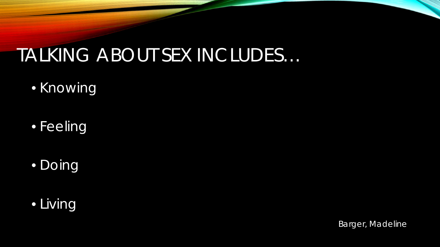## TALKING ABOUT SEX INCLUDES…

- Knowing
- Feeling
- Doing

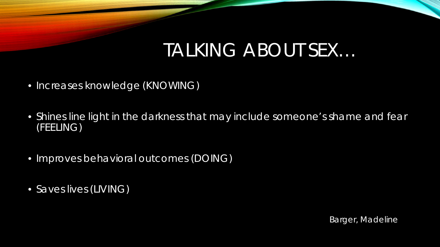#### TALKING ABOUT SEX…

- Increases knowledge (KNOWING)
- Shines line light in the darkness that may include someone's shame and fear (FEELING)
- Improves behavioral outcomes (DOING)
- Saves lives (LIVING)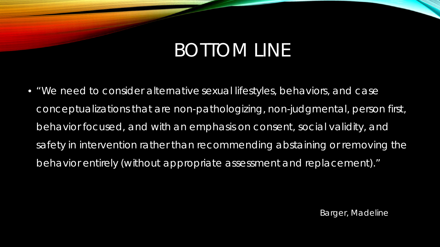## BOTTOM LINE

• "We need to consider alternative sexual lifestyles, behaviors, and case conceptualizations that are non-pathologizing, non-judgmental, person first, behavior focused, and with an emphasis on consent, social validity, and safety in intervention rather than recommending abstaining or removing the behavior entirely (without appropriate assessment and replacement)."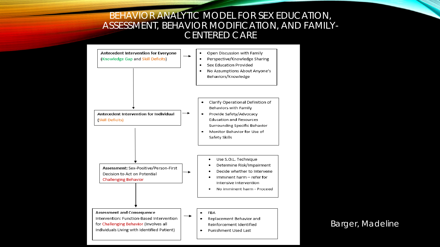#### BEHAVIOR ANALYTIC MODEL FOR SEX EDUCATION, ASSESSMENT, BEHAVIOR MODIFICATION, AND FAMILY-CENTERED CARE

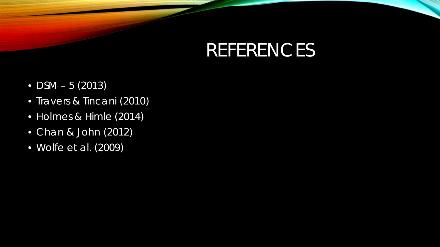## REFERENCES

- $DSM 5 (2013)$
- Travers & Tincani (2010)
- Holmes & Himle (2014)
- Chan & John (2012)
- Wolfe et al. (2009)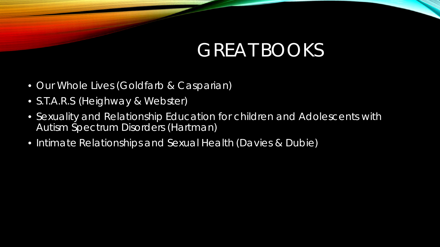## GREAT BOOKS

- Our Whole Lives (Goldfarb & Casparian)
- S.T.A.R.S (Heighway & Webster)
- Sexuality and Relationship Education for children and Adolescents with Autism Spectrum Disorders (Hartman)
- Intimate Relationships and Sexual Health (Davies & Dubie)